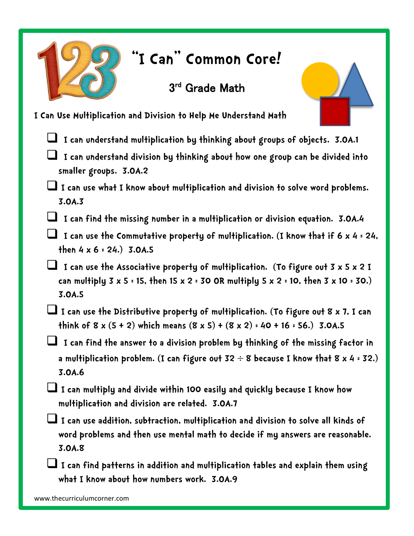

## **"I Can" Common Core!**

## 3<sup>rd</sup> Grade Math



- **I can understand multiplication by thinking about groups of objects. 3.OA.1**
- **I can understand division by thinking about how one group can be divided into smaller groups. 3.OA.2**
- **I can use what I know about multiplication and division to solve word problems. 3.OA.3**
- **I can find the missing number in a multiplication or division equation. 3.OA.4**
- **I can use the Commutative property of multiplication. (I know that if 6 x 4 = 24, then 4 x 6 = 24.) 3.OA.5**
- **I can use the Associative property of multiplication. (To figure out 3 x 5 x 2 I can multiply 3 x 5 = 15, then 15 x 2 = 30 OR multiply 5 x 2 = 10, then 3 x 10 = 30.) 3.OA.5**
- **I can use the Distributive property of multiplication. (To figure out 8 x 7, I can think of 8 x (5 + 2) which means (8 x 5) + (8 x 2) = 40 + 16 = 56.) 3.0A.5**
- **I can find the answer to a division problem by thinking of the missing factor in a multiplication problem. (I can figure out 32 8 because I know that 8 x 4 = 32.) 3.OA.6**
- **I can multiply and divide within 100 easily and quickly because I know how multiplication and division are related. 3.OA.7**
- **I can use addition, subtraction, multiplication and division to solve all kinds of word problems and then use mental math to decide if my answers are reasonable. 3.OA.8**
- **I can find patterns in addition and multiplication tables and explain them using what I know about how numbers work. 3.OA.9**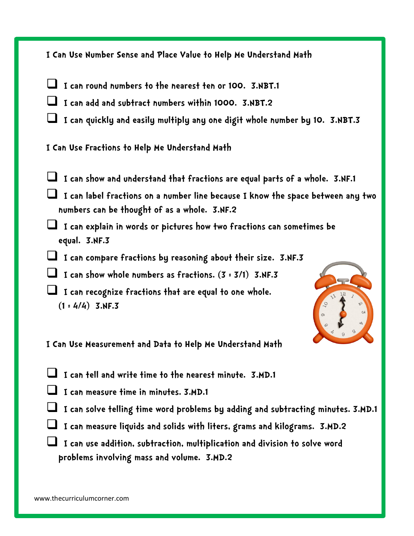| I Can Use Number Sense and Place Value to Help Me Understand Math                                                               |
|---------------------------------------------------------------------------------------------------------------------------------|
| I can round numbers to the nearest ten or 100. 3.NBT.1                                                                          |
| I can add and subtract numbers within 1000. 3.NBT.2                                                                             |
| I can quickly and easily multiply any one digit whole number by 10. 3.NBT.3                                                     |
| I Can Use Fractions to Help Me Understand Math                                                                                  |
| I can show and understand that fractions are equal parts of a whole. 3.NF.1                                                     |
| I can label fractions on a number line because I know the space between any two<br>numbers can be thought of as a whole. 3.NF.2 |
| I can explain in words or pictures how two fractions can sometimes be<br>equal. 3.NF.3                                          |
| I can compare fractions by reasoning about their size. 3.NF.3                                                                   |
| I can show whole numbers as fractions. $(3 : 3/1)$ 3.NF.3                                                                       |
| I can recognize fractions that are equal to one whole.<br>Q <sub>2</sub><br>$(1:4/4)$ 3.NF.3<br>$\circ$                         |
| I Can Use Measurement and Data to Help Me Understand Math                                                                       |
| I can tell and write time to the nearest minute. 3.MD.1                                                                         |
| I can measure time in minutes. 3.MD.1                                                                                           |
| I can solve telling time word problems by adding and subtracting minutes. 3.MD.1                                                |
| I can measure liquids and solids with liters, grams and kilograms. 3.MD.2                                                       |

 **I can use addition, subtraction, multiplication and division to solve word problems involving mass and volume. 3.MD.2**